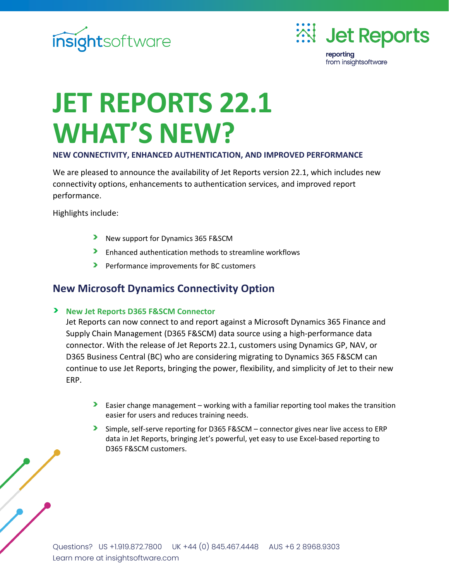



# **JET REPORTS 22.1 WHAT'S NEW?**

#### **NEW CONNECTIVITY, ENHANCED AUTHENTICATION, AND IMPROVED PERFORMANCE**

We are pleased to announce the availability of Jet Reports version 22.1, which includes new connectivity options, enhancements to authentication services, and improved report performance.

Highlights include:

- New support for Dynamics 365 F&SCM
- Enhanced authentication methods to streamline workflows  $\blacktriangleright$
- Performance improvements for BC customers

#### **New Microsoft Dynamics Connectivity Option**

#### **New Jet Reports D365 F&SCM Connector**

Jet Reports can now connect to and report against a Microsoft Dynamics 365 Finance and Supply Chain Management (D365 F&SCM) data source using a high-performance data connector. With the release of Jet Reports 22.1, customers using Dynamics GP, NAV, or D365 Business Central (BC) who are considering migrating to Dynamics 365 F&SCM can continue to use Jet Reports, bringing the power, flexibility, and simplicity of Jet to their new ERP.

- **Easier change management working with a familiar reporting tool makes the transition** easier for users and reduces training needs.
- $\blacktriangleright$ Simple, self-serve reporting for D365 F&SCM – connector gives near live access to ERP data in Jet Reports, bringing Jet's powerful, yet easy to use Excel-based reporting to D365 F&SCM customers.